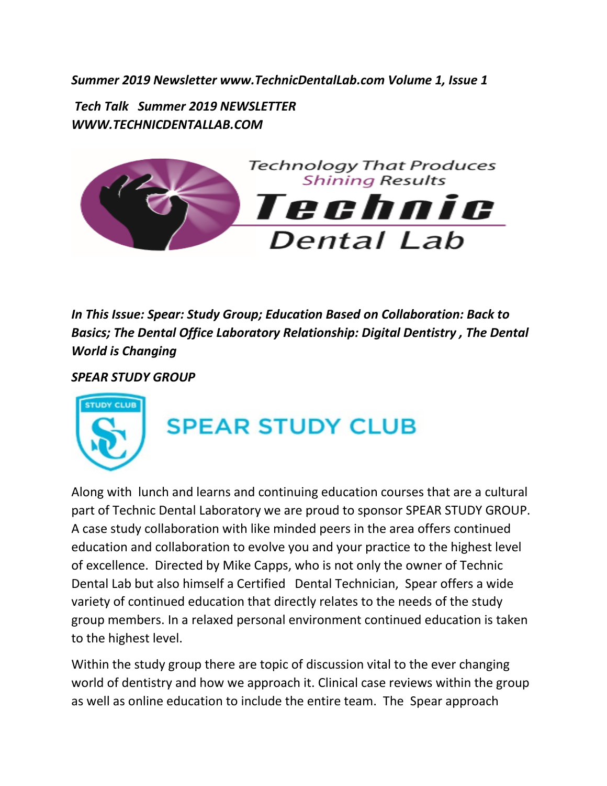*Summer 2019 Newsletter www.TechnicDentalLab.com Volume 1, Issue 1* 

*Tech Talk Summer 2019 NEWSLETTER WWW.TECHNICDENTALLAB.COM* 



*In This Issue: Spear: Study Group; Education Based on Collaboration: Back to Basics; The Dental Office Laboratory Relationship: Digital Dentistry , The Dental World is Changing* 

*SPEAR STUDY GROUP*



## **SPEAR STUDY CLUB**

Along with lunch and learns and continuing education courses that are a cultural part of Technic Dental Laboratory we are proud to sponsor SPEAR STUDY GROUP. A case study collaboration with like minded peers in the area offers continued education and collaboration to evolve you and your practice to the highest level of excellence. Directed by Mike Capps, who is not only the owner of Technic Dental Lab but also himself a Certified Dental Technician, Spear offers a wide variety of continued education that directly relates to the needs of the study group members. In a relaxed personal environment continued education is taken to the highest level.

Within the study group there are topic of discussion vital to the ever changing world of dentistry and how we approach it. Clinical case reviews within the group as well as online education to include the entire team. The Spear approach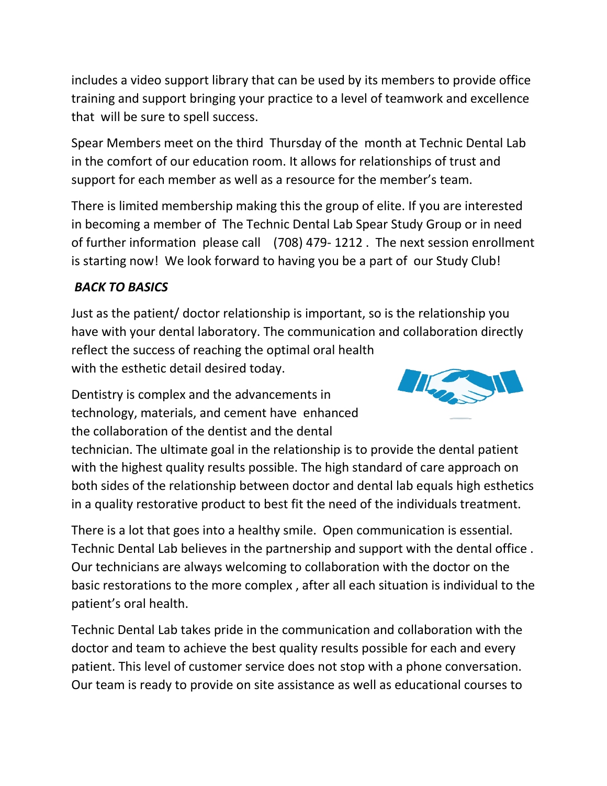includes a video support library that can be used by its members to provide office training and support bringing your practice to a level of teamwork and excellence that will be sure to spell success.

Spear Members meet on the third Thursday of the month at Technic Dental Lab in the comfort of our education room. It allows for relationships of trust and support for each member as well as a resource for the member's team.

There is limited membership making this the group of elite. If you are interested in becoming a member of The Technic Dental Lab Spear Study Group or in need of further information please call (708) 479- 1212 . The next session enrollment is starting now! We look forward to having you be a part of our Study Club!

## *BACK TO BASICS*

Just as the patient/ doctor relationship is important, so is the relationship you have with your dental laboratory. The communication and collaboration directly reflect the success of reaching the optimal oral health with the esthetic detail desired today.

Dentistry is complex and the advancements in technology, materials, and cement have enhanced the collaboration of the dentist and the dental



There is a lot that goes into a healthy smile. Open communication is essential. Technic Dental Lab believes in the partnership and support with the dental office . Our technicians are always welcoming to collaboration with the doctor on the basic restorations to the more complex , after all each situation is individual to the patient's oral health.

Technic Dental Lab takes pride in the communication and collaboration with the doctor and team to achieve the best quality results possible for each and every patient. This level of customer service does not stop with a phone conversation. Our team is ready to provide on site assistance as well as educational courses to

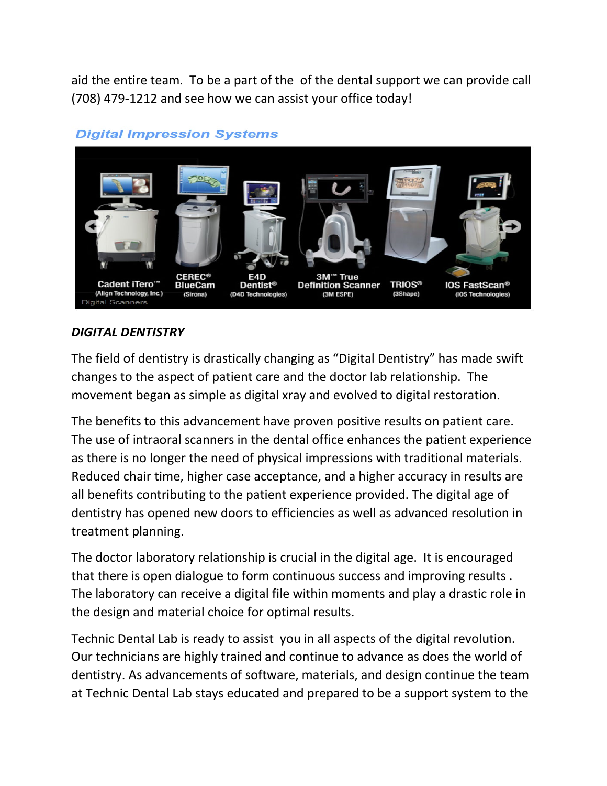aid the entire team. To be a part of the of the dental support we can provide call (708) 479-1212 and see how we can assist your office today!



## **Digital Impression Systems**

## *DIGITAL DENTISTRY*

The field of dentistry is drastically changing as "Digital Dentistry" has made swift changes to the aspect of patient care and the doctor lab relationship. The movement began as simple as digital xray and evolved to digital restoration.

The benefits to this advancement have proven positive results on patient care. The use of intraoral scanners in the dental office enhances the patient experience as there is no longer the need of physical impressions with traditional materials. Reduced chair time, higher case acceptance, and a higher accuracy in results are all benefits contributing to the patient experience provided. The digital age of dentistry has opened new doors to efficiencies as well as advanced resolution in treatment planning.

The doctor laboratory relationship is crucial in the digital age. It is encouraged that there is open dialogue to form continuous success and improving results . The laboratory can receive a digital file within moments and play a drastic role in the design and material choice for optimal results.

Technic Dental Lab is ready to assist you in all aspects of the digital revolution. Our technicians are highly trained and continue to advance as does the world of dentistry. As advancements of software, materials, and design continue the team at Technic Dental Lab stays educated and prepared to be a support system to the